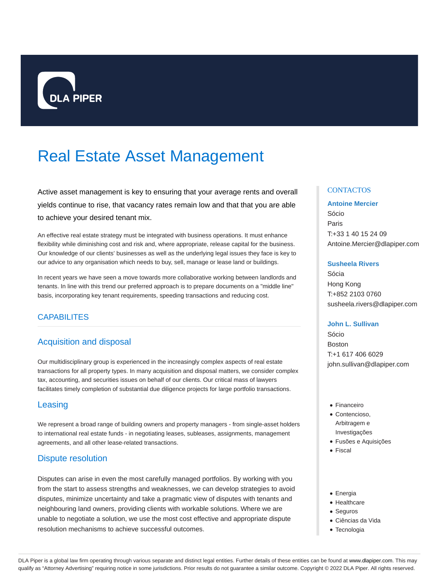

# Real Estate Asset Management

Active asset management is key to ensuring that your average rents and overall yields continue to rise, that vacancy rates remain low and that that you are able to achieve your desired tenant mix.

An effective real estate strategy must be integrated with business operations. It must enhance flexibility while diminishing cost and risk and, where appropriate, release capital for the business. Our knowledge of our clients' businesses as well as the underlying legal issues they face is key to our advice to any organisation which needs to buy, sell, manage or lease land or buildings.

In recent years we have seen a move towards more collaborative working between landlords and tenants. In line with this trend our preferred approach is to prepare documents on a "middle line" basis, incorporating key tenant requirements, speeding transactions and reducing cost.

## CAPABILITES

## Acquisition and disposal

Our multidisciplinary group is experienced in the increasingly complex aspects of real estate transactions for all property types. In many acquisition and disposal matters, we consider complex tax, accounting, and securities issues on behalf of our clients. Our critical mass of lawyers facilitates timely completion of substantial due diligence projects for large portfolio transactions.

## **Leasing**

We represent a broad range of building owners and property managers - from single-asset holders to international real estate funds - in negotiating leases, subleases, assignments, management agreements, and all other lease-related transactions.

## Dispute resolution

Disputes can arise in even the most carefully managed portfolios. By working with you from the start to assess strengths and weaknesses, we can develop strategies to avoid disputes, minimize uncertainty and take a pragmatic view of disputes with tenants and neighbouring land owners, providing clients with workable solutions. Where we are unable to negotiate a solution, we use the most cost effective and appropriate dispute resolution mechanisms to achieve successful outcomes.

### **CONTACTOS**

#### **Antoine Mercier**

Sócio Paris T:+33 1 40 15 24 09 Antoine.Mercier@dlapiper.com

#### **Susheela Rivers**

Sócia Hong Kong T:+852 2103 0760 susheela.rivers@dlapiper.com

#### **John L. Sullivan**

Sócio Boston T:+1 617 406 6029 john.sullivan@dlapiper.com

- Financeiro
- Contencioso. Arbitragem e Investigações
- Fusões e Aquisições
- Fiscal
- Energia
- Healthcare
- Seguros
- Ciências da Vida
- Tecnologia

DLA Piper is a global law firm operating through various separate and distinct legal entities. Further details of these entities can be found at www.dlapiper.com. This may qualify as "Attorney Advertising" requiring notice in some jurisdictions. Prior results do not guarantee a similar outcome. Copyright @ 2022 DLA Piper. All rights reserved.